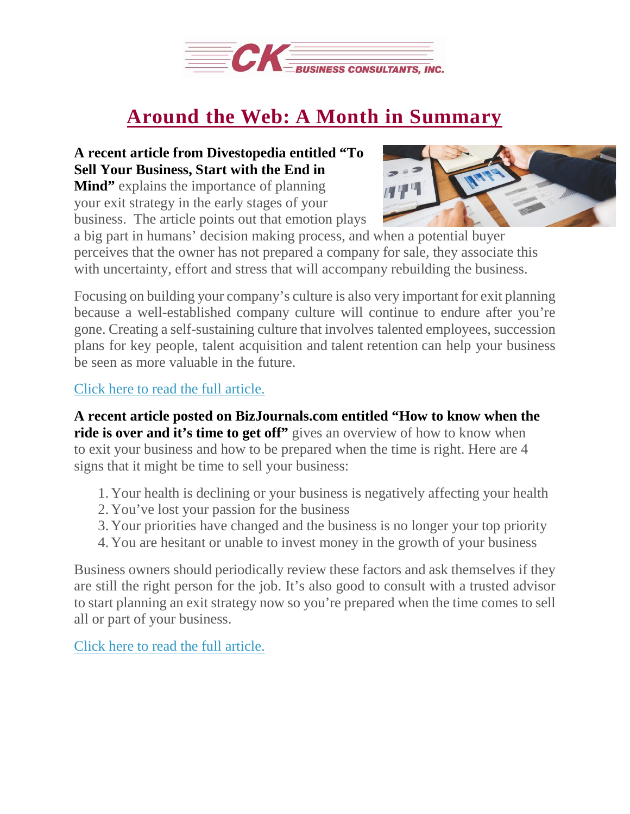

## **Around the Web: A Month in [Summary](https://deal-studio.com/around-web-month-summary-7/)**

## **A recent article from Divestopedia entitled "To Sell Your Business, Start with the End in**

**Mind"** explains the importance of planning your exit strategy in the early stages of your business. The article points out that emotion plays



a big part in humans' decision making process, and when a potential buyer perceives that the owner has not prepared a company for sale, they associate this with uncertainty, effort and stress that will accompany rebuilding the business.

Focusing on building your company's culture is also very important for exit planning because a well-established company culture will continue to endure after you're gone. Creating a self-sustaining culture that involves talented employees, succession plans for key people, talent acquisition and talent retention can help your business be seen as more valuable in the future.

Click here to read the full [article.](https://www.divestopedia.com/to-sell-your-business-start-with-the-end-in-mind/2/4759)

**A recent article posted on BizJournals.com entitled "How to know when the ride is over and it's time to get off"** gives an overview of how to know when to exit your business and how to be prepared when the time is right. Here are 4 signs that it might be time to sell your business:

- 1. Your health is declining or your business is negatively affecting your health
- 2. You've lost your passion for the business
- 3. Your priorities have changed and the business is no longer your top priority
- 4. You are hesitant or unable to invest money in the growth of your business

Business owners should periodically review these factors and ask themselves if they are still the right person for the job. It's also good to consult with a trusted advisor to start planning an exit strategy now so you're prepared when the time comes to sell all or part of your business.

Click here to read the full [article.](https://www.bizjournals.com/bizjournals/how-to/sell-a-business/2017/12/how-to-know-when-the-ride-is-over-and-its-time-to.html)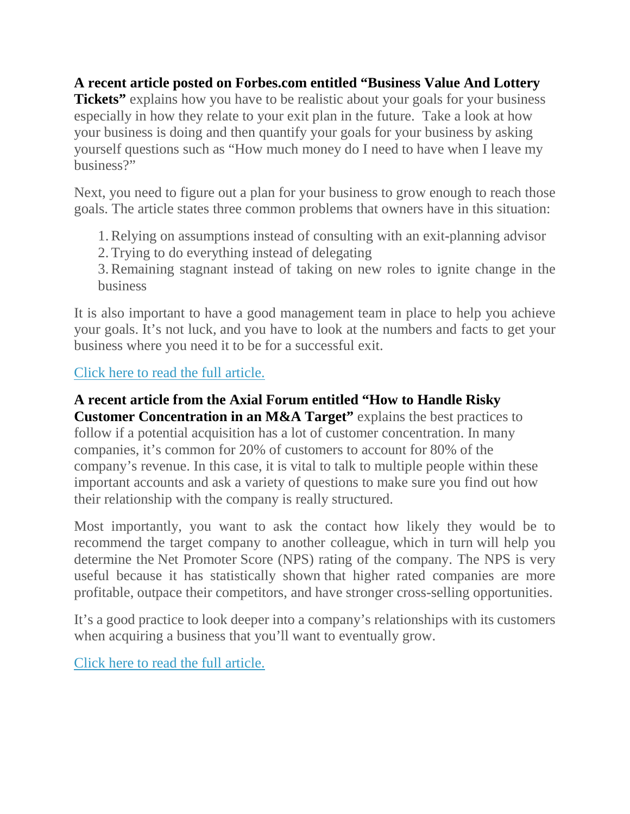**A recent article posted on Forbes.com entitled "Business Value And Lottery**

**Tickets**" explains how you have to be realistic about your goals for your business especially in how they relate to your exit plan in the future. Take a look at how your business is doing and then quantify your goals for your business by asking yourself questions such as "How much money do I need to have when I leave my business?"

Next, you need to figure out a plan for your business to grow enough to reach those goals. The article states three common problems that owners have in this situation:

1.Relying on assumptions instead of consulting with an exit-planning advisor

2.Trying to do everything instead of delegating

3.Remaining stagnant instead of taking on new roles to ignite change in the business

It is also important to have a good management team in place to help you achieve your goals. It's not luck, and you have to look at the numbers and facts to get your business where you need it to be for a successful exit.

## Click here to read the full [article.](https://www.forbes.com/sites/johnbrown/2017/11/22/business-value-and-lottery-tickets/)

## **A recent article from the Axial Forum entitled "How to Handle Risky**

**Customer Concentration in an M&A Target"** explains the best practices to follow if a potential acquisition has a lot of customer concentration. In many companies, it's common for 20% of customers to account for 80% of the company's revenue. In this case, it is vital to talk to multiple people within these important accounts and ask a variety of questions to make sure you find out how their relationship with the company is really structured.

Most importantly, you want to ask the contact how likely they would be to recommend the target company to another colleague, which in turn will help you determine the Net Promoter Score (NPS) rating of the company. The NPS is very useful because it has statistically shown that higher rated companies are more profitable, outpace their competitors, and have stronger cross-selling opportunities.

It's a good practice to look deeper into a company's relationships with its customers when acquiring a business that you'll want to eventually grow.

Click here to read the full [article.](https://www.axial.net/forum/confronting-serious-customer-concentration-through-due-diligence/)